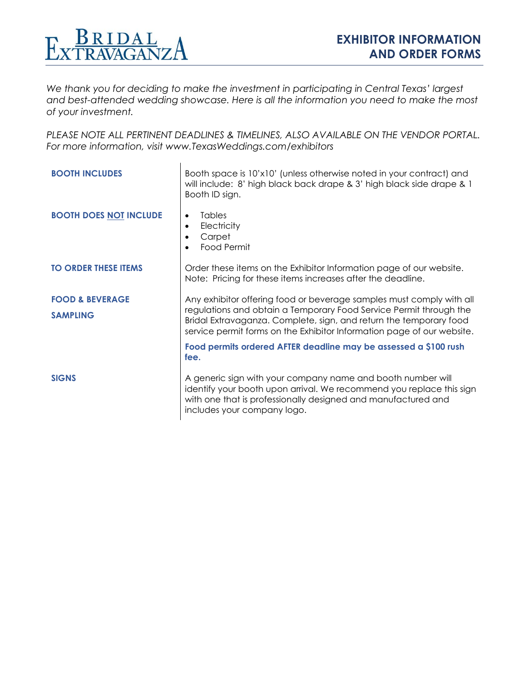

*We thank you for deciding to make the investment in participating in Central Texas' largest and best-attended wedding showcase. Here is all the information you need to make the most of your investment.* 

*PLEASE NOTE ALL PERTINENT DEADLINES & TIMELINES, ALSO AVAILABLE ON THE VENDOR PORTAL. For more information, visit [www.TexasWeddings.com/](http://www.texasweddings.com/)exhibitors*

| <b>BOOTH INCLUDES</b>                         | Booth space is 10'x10' (unless otherwise noted in your contract) and<br>will include: 8' high black back drape & 3' high black side drape & 1<br>Booth ID sign.                                                                                                                                                                                                        |  |  |  |
|-----------------------------------------------|------------------------------------------------------------------------------------------------------------------------------------------------------------------------------------------------------------------------------------------------------------------------------------------------------------------------------------------------------------------------|--|--|--|
| <b>BOOTH DOES NOT INCLUDE</b>                 | <b>Tables</b><br>Electricity<br>Carpet<br>Food Permit                                                                                                                                                                                                                                                                                                                  |  |  |  |
| <b>TO ORDER THESE ITEMS</b>                   | Order these items on the Exhibitor Information page of our website.<br>Note: Pricing for these items increases after the deadline.                                                                                                                                                                                                                                     |  |  |  |
| <b>FOOD &amp; BEVERAGE</b><br><b>SAMPLING</b> | Any exhibitor offering food or beverage samples must comply with all<br>regulations and obtain a Temporary Food Service Permit through the<br>Bridal Extravaganza. Complete, sign, and return the temporary food<br>service permit forms on the Exhibitor Information page of our website.<br>Food permits ordered AFTER deadline may be assessed a \$100 rush<br>fee. |  |  |  |
| <b>SIGNS</b>                                  | A generic sign with your company name and booth number will<br>identify your booth upon arrival. We recommend you replace this sign<br>with one that is professionally designed and manufactured and<br>includes your company logo.                                                                                                                                    |  |  |  |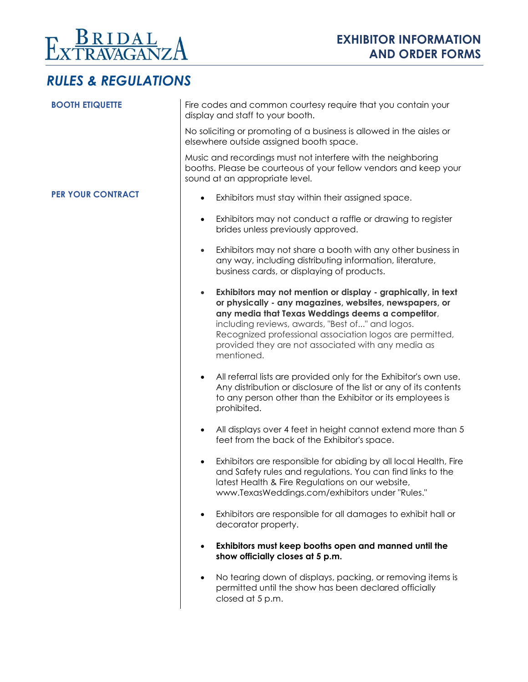

# *RULES & REGULATIONS*

| <b>BOOTH ETIQUETTE</b>   | Fire codes and common courtesy require that you contain your<br>display and staff to your booth.                                                                                                                                                                                                                                                                             |  |  |  |
|--------------------------|------------------------------------------------------------------------------------------------------------------------------------------------------------------------------------------------------------------------------------------------------------------------------------------------------------------------------------------------------------------------------|--|--|--|
|                          | No soliciting or promoting of a business is allowed in the aisles or<br>elsewhere outside assigned booth space.                                                                                                                                                                                                                                                              |  |  |  |
|                          | Music and recordings must not interfere with the neighboring<br>booths. Please be courteous of your fellow vendors and keep your<br>sound at an appropriate level.                                                                                                                                                                                                           |  |  |  |
| <b>PER YOUR CONTRACT</b> | Exhibitors must stay within their assigned space.                                                                                                                                                                                                                                                                                                                            |  |  |  |
|                          | Exhibitors may not conduct a raffle or drawing to register<br>$\bullet$<br>brides unless previously approved.                                                                                                                                                                                                                                                                |  |  |  |
|                          | Exhibitors may not share a booth with any other business in<br>$\bullet$<br>any way, including distributing information, literature,<br>business cards, or displaying of products.                                                                                                                                                                                           |  |  |  |
|                          | Exhibitors may not mention or display - graphically, in text<br>$\bullet$<br>or physically - any magazines, websites, newspapers, or<br>any media that Texas Weddings deems a competitor,<br>including reviews, awards, "Best of" and logos.<br>Recognized professional association logos are permitted,<br>provided they are not associated with any media as<br>mentioned. |  |  |  |
|                          | All referral lists are provided only for the Exhibitor's own use.<br>Any distribution or disclosure of the list or any of its contents<br>to any person other than the Exhibitor or its employees is<br>prohibited.                                                                                                                                                          |  |  |  |
|                          | All displays over 4 feet in height cannot extend more than 5<br>$\bullet$<br>feet from the back of the Exhibitor's space.                                                                                                                                                                                                                                                    |  |  |  |
|                          | Exhibitors are responsible for abiding by all local Health, Fire<br>$\bullet$<br>and Safety rules and regulations. You can find links to the<br>latest Health & Fire Regulations on our website,<br>www.TexasWeddings.com/exhibitors under "Rules."                                                                                                                          |  |  |  |
|                          | Exhibitors are responsible for all damages to exhibit hall or<br>$\bullet$<br>decorator property.                                                                                                                                                                                                                                                                            |  |  |  |
|                          | Exhibitors must keep booths open and manned until the<br>$\bullet$<br>show officially closes at 5 p.m.                                                                                                                                                                                                                                                                       |  |  |  |
|                          | No tearing down of displays, packing, or removing items is<br>$\bullet$<br>permitted until the show has been declared officially<br>closed at 5 p.m.                                                                                                                                                                                                                         |  |  |  |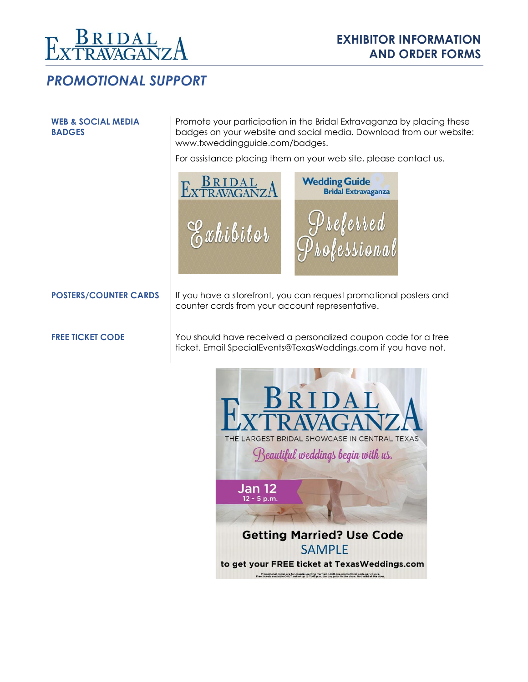

#### *PROMOTIONAL SUPPORT*

#### **WEB & SOCIAL MEDIA BADGES**

Promote your participation in the Bridal Extravaganza by placing these badges on your website and social media. Download from our website: [www.txweddingguide.com/badges.](http://www.txweddingguide.com/badges)

For assistance placing them on your web site, please contact us.



counter cards from your account representative.

**POSTERS/COUNTER CARDS** If you have a storefront, you can request promotional posters and

**FREE TICKET CODE** You should have received a personalized coupon code for a free ticket. Email SpecialEvents@TexasWeddings.com if you have not.

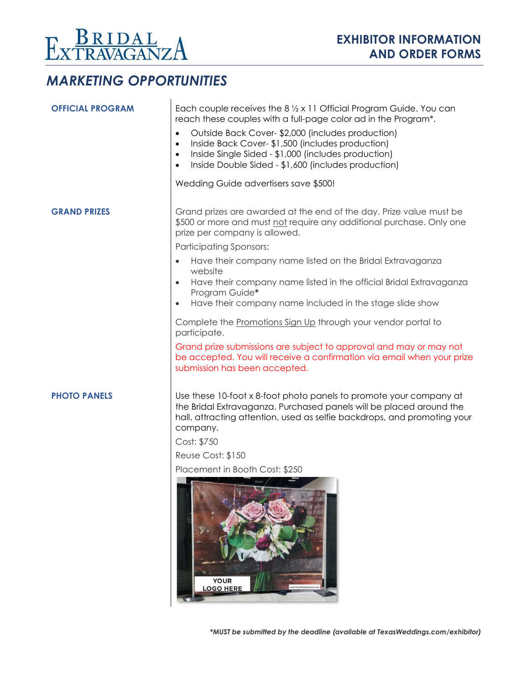

# *MARKETING OPPORTUNITIES*

| <b>OFFICIAL PROGRAM</b> | Each couple receives the $8\frac{1}{2} \times 11$ Official Program Guide. You can<br>reach these couples with a full-page color ad in the Program*.                                                                                                                   |  |  |  |
|-------------------------|-----------------------------------------------------------------------------------------------------------------------------------------------------------------------------------------------------------------------------------------------------------------------|--|--|--|
|                         | Outside Back Cover-\$2,000 (includes production)<br>$\bullet$<br>Inside Back Cover-\$1,500 (includes production)<br>$\bullet$<br>Inside Single Sided - \$1,000 (includes production)<br>$\bullet$<br>Inside Double Sided - \$1,600 (includes production)<br>$\bullet$ |  |  |  |
|                         | Wedding Guide advertisers save \$500!                                                                                                                                                                                                                                 |  |  |  |
| <b>GRAND PRIZES</b>     | Grand prizes are awarded at the end of the day. Prize value must be<br>\$500 or more and must not require any additional purchase. Only one<br>prize per company is allowed.                                                                                          |  |  |  |
|                         | <b>Participating Sponsors:</b>                                                                                                                                                                                                                                        |  |  |  |
|                         | Have their company name listed on the Bridal Extravaganza<br>website                                                                                                                                                                                                  |  |  |  |
|                         | Have their company name listed in the official Bridal Extravaganza<br>Program Guide*                                                                                                                                                                                  |  |  |  |
|                         | Have their company name included in the stage slide show<br>$\bullet$                                                                                                                                                                                                 |  |  |  |
|                         | Complete the Promotions Sign Up through your vendor portal to<br>participate.                                                                                                                                                                                         |  |  |  |
|                         | Grand prize submissions are subject to approval and may or may not<br>be accepted. You will receive a confirmation via email when your prize<br>submission has been accepted.                                                                                         |  |  |  |
| <b>PHOTO PANELS</b>     | Use these 10-foot x 8-foot photo panels to promote your company at<br>the Bridal Extravaganza. Purchased panels will be placed around the<br>hall, attracting attention, used as selfie backdrops, and promoting your<br>company.                                     |  |  |  |
|                         | Cost: \$750                                                                                                                                                                                                                                                           |  |  |  |
|                         | Reuse Cost: \$150                                                                                                                                                                                                                                                     |  |  |  |
|                         | Placement in Booth Cost: \$250                                                                                                                                                                                                                                        |  |  |  |
|                         |                                                                                                                                                                                                                                                                       |  |  |  |

**YOUR<br>LOGO HERE**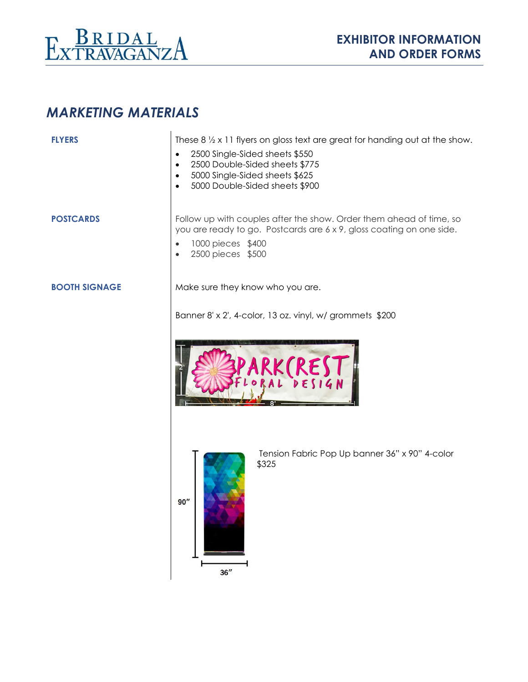

# *MARKETING MATERIALS*

| <b>FLYERS</b>        | These $8\frac{1}{2} \times 11$ flyers on gloss text are great for handing out at the show.<br>2500 Single-Sided sheets \$550<br>$\bullet$<br>2500 Double-Sided sheets \$775<br>$\bullet$<br>5000 Single-Sided sheets \$625<br>$\bullet$<br>5000 Double-Sided sheets \$900<br>$\bullet$ |
|----------------------|----------------------------------------------------------------------------------------------------------------------------------------------------------------------------------------------------------------------------------------------------------------------------------------|
| <b>POSTCARDS</b>     | Follow up with couples after the show. Order them ahead of time, so<br>you are ready to go. Postcards are 6 x 9, gloss coating on one side.<br>1000 pieces \$400<br>$\bullet$<br>2500 pieces \$500<br>$\bullet$                                                                        |
| <b>BOOTH SIGNAGE</b> | Make sure they know who you are.                                                                                                                                                                                                                                                       |
|                      | Banner 8' x 2', 4-color, 13 oz. vinyl, w/ grommets \$200                                                                                                                                                                                                                               |
|                      |                                                                                                                                                                                                                                                                                        |
|                      | Tension Fabric Pop Up banner 36" x 90" 4-color<br>\$325<br>90''<br>36''                                                                                                                                                                                                                |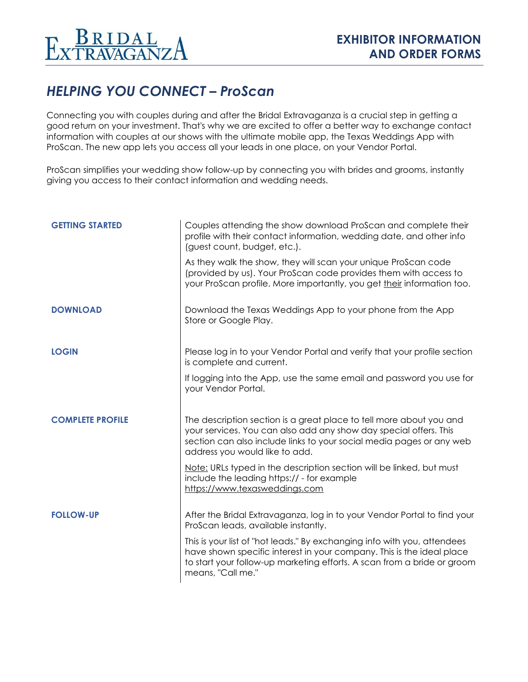# *HELPING YOU CONNECT – ProScan*

Connecting you with couples during and after the Bridal Extravaganza is a crucial step in getting a good return on your investment. That's why we are excited to offer a better way to exchange contact information with couples at our shows with the ultimate mobile app, the Texas Weddings App with ProScan. The new app lets you access all your leads in one place, on your Vendor Portal.

ProScan simplifies your wedding show follow-up by connecting you with brides and grooms, instantly giving you access to their contact information and wedding needs.

| <b>GETTING STARTED</b>  | Couples attending the show download ProScan and complete their<br>profile with their contact information, wedding date, and other info<br>(guest count, budget, etc.).                                                                             |
|-------------------------|----------------------------------------------------------------------------------------------------------------------------------------------------------------------------------------------------------------------------------------------------|
|                         | As they walk the show, they will scan your unique ProScan code<br>(provided by us). Your ProScan code provides them with access to<br>your ProScan profile. More importantly, you get their information too.                                       |
| <b>DOWNLOAD</b>         | Download the Texas Weddings App to your phone from the App<br>Store or Google Play.                                                                                                                                                                |
| <b>LOGIN</b>            | Please log in to your Vendor Portal and verify that your profile section<br>is complete and current.                                                                                                                                               |
|                         | If logging into the App, use the same email and password you use for<br>your Vendor Portal.                                                                                                                                                        |
| <b>COMPLETE PROFILE</b> | The description section is a great place to tell more about you and<br>your services. You can also add any show day special offers. This<br>section can also include links to your social media pages or any web<br>address you would like to add. |
|                         | Note: URLs typed in the description section will be linked, but must<br>include the leading https:// - for example<br>https://www.texasweddings.com                                                                                                |
| <b>FOLLOW-UP</b>        | After the Bridal Extravaganza, log in to your Vendor Portal to find your<br>ProScan leads, available instantly.                                                                                                                                    |
|                         | This is your list of "hot leads." By exchanging info with you, attendees<br>have shown specific interest in your company. This is the ideal place<br>to start your follow-up marketing efforts. A scan from a bride or groom<br>means, "Call me."  |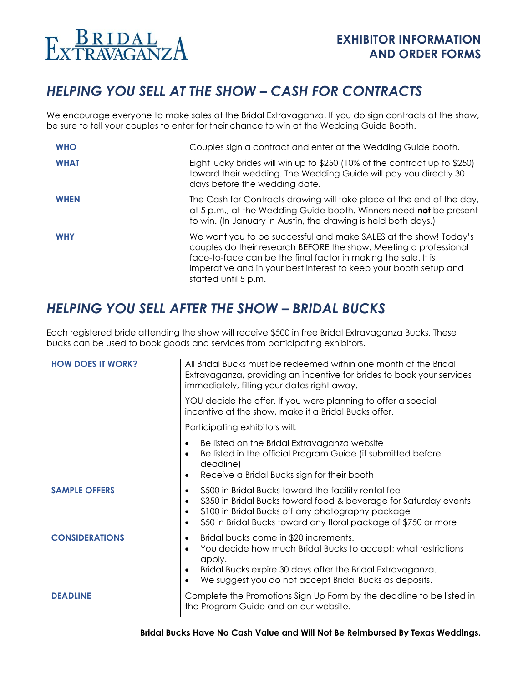

### *HELPING YOU SELL AT THE SHOW – CASH FOR CONTRACTS*

We encourage everyone to make sales at the Bridal Extravaganza. If you do sign contracts at the show, be sure to tell your couples to enter for their chance to win at the Wedding Guide Booth.

| <b>WHO</b>  | Couples sign a contract and enter at the Wedding Guide booth.                                                                                                                                                                                                                                        |
|-------------|------------------------------------------------------------------------------------------------------------------------------------------------------------------------------------------------------------------------------------------------------------------------------------------------------|
| <b>WHAT</b> | Eight lucky brides will win up to \$250 (10% of the contract up to \$250)<br>toward their wedding. The Wedding Guide will pay you directly 30<br>days before the wedding date.                                                                                                                       |
| <b>WHEN</b> | The Cash for Contracts drawing will take place at the end of the day,<br>at 5 p.m., at the Wedding Guide booth. Winners need not be present<br>to win. (In January in Austin, the drawing is held both days.)                                                                                        |
| <b>WHY</b>  | We want you to be successful and make SALES at the show! Today's<br>couples do their research BEFORE the show. Meeting a professional<br>face-to-face can be the final factor in making the sale. It is<br>imperative and in your best interest to keep your booth setup and<br>staffed until 5 p.m. |

#### *HELPING YOU SELL AFTER THE SHOW – BRIDAL BUCKS*

Each registered bride attending the show will receive \$500 in free Bridal Extravaganza Bucks. These bucks can be used to book goods and services from participating exhibitors.

| <b>HOW DOES IT WORK?</b> | All Bridal Bucks must be redeemed within one month of the Bridal<br>Extravaganza, providing an incentive for brides to book your services<br>immediately, filling your dates right away.                                                                                                             |  |  |
|--------------------------|------------------------------------------------------------------------------------------------------------------------------------------------------------------------------------------------------------------------------------------------------------------------------------------------------|--|--|
|                          | YOU decide the offer. If you were planning to offer a special<br>incentive at the show, make it a Bridal Bucks offer.                                                                                                                                                                                |  |  |
|                          | Participating exhibitors will:                                                                                                                                                                                                                                                                       |  |  |
|                          | Be listed on the Bridal Extravaganza website<br>$\bullet$<br>Be listed in the official Program Guide (if submitted before<br>$\bullet$<br>deadline)<br>Receive a Bridal Bucks sign for their booth<br>$\bullet$                                                                                      |  |  |
| <b>SAMPLE OFFERS</b>     | \$500 in Bridal Bucks toward the facility rental fee<br>$\bullet$<br>\$350 in Bridal Bucks toward food & beverage for Saturday events<br>$\bullet$<br>\$100 in Bridal Bucks off any photography package<br>$\bullet$<br>\$50 in Bridal Bucks toward any floral package of \$750 or more<br>$\bullet$ |  |  |
| <b>CONSIDERATIONS</b>    | Bridal bucks come in \$20 increments.<br>$\bullet$<br>You decide how much Bridal Bucks to accept; what restrictions<br>$\bullet$<br>apply.<br>Bridal Bucks expire 30 days after the Bridal Extravaganza.<br>$\bullet$<br>We suggest you do not accept Bridal Bucks as deposits.<br>$\bullet$         |  |  |
| <b>DEADLINE</b>          | Complete the Promotions Sign Up Form by the deadline to be listed in<br>the Program Guide and on our website.                                                                                                                                                                                        |  |  |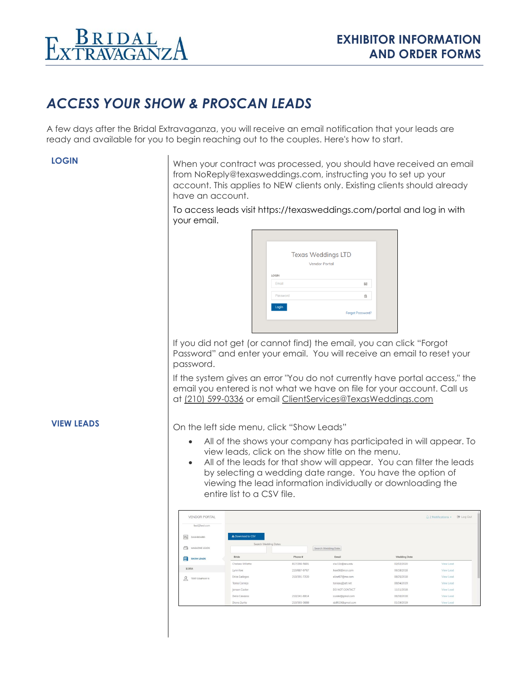

### *ACCESS YOUR SHOW & PROSCAN LEADS*

A few days after the Bridal Extravaganza, you will receive an email notification that your leads are ready and available for you to begin reaching out to the couples. Here's how to start.

**LOGIN** When your contract was processed, you should have received an email from NoReply@texasweddings.com, instructing you to set up your account. This applies to NEW clients only. Existing clients should already have an account.

> To access leads visit<https://texasweddings.com/portal> and log in with your email.

| <b>Texas Weddings LTD</b> |             |
|---------------------------|-------------|
| <b>Vendor Portal</b>      |             |
| LOGIN                     |             |
| Email                     | ⊠           |
| Password                  | $_{\oplus}$ |
| Login                     |             |

If you did not get (or cannot find) the email, you can click "Forgot Password" and enter your email. You will receive an email to reset your password.

If the system gives an error "You do not currently have portal access," the email you entered is not what we have on file for your account. Call us at (210) 599-0336 or email [ClientServices@TexasWeddings.com](mailto:ClientServices@TexasWeddings.com)

**VIEW LEADS** On the left side menu, click "Show Leads"

- All of the shows your company has participated in will appear. To view leads, click on the show title on the menu.
- All of the leads for that show will appear. You can filter the leads by selecting a wedding date range. You have the option of viewing the lead information individually or downloading the entire list to a CSV file.

| <b>VENDOR PORTAL</b>            |                      |              |                     |              | (→ Log Out)<br>$\bigcirc$ 2 Notifications $\ast$ |
|---------------------------------|----------------------|--------------|---------------------|--------------|--------------------------------------------------|
| test@test.com                   |                      |              |                     |              |                                                  |
| $\frac{1}{2}$<br>DASHBOARD      | L Download to CSV    |              |                     |              |                                                  |
| $\bigcap$<br>MAGAZINE LEADS     | Search Wedding Dates |              | Search Wedding Date |              |                                                  |
| 目<br>SHOW LEADS                 | Bride                | Phone #      | Email               | Wedding Date |                                                  |
|                                 | Chelsea Willette     | 817/266-5691 | clw11b@acu.edu      | 02/02/2020   | View Lead                                        |
| 1/18SA                          | Lynn Kee             | 210/887-9767 | Ikee06@msn.com      | 06/18/2018   | View Lead                                        |
| $\mathcal{L}$<br>TEST COMPANY 6 | Erica Gallegos       | 210/391-7220 | elizet07@me.com     | 08/25/2018   | View Lead                                        |
|                                 | Tania Comejo         |              | taniasq@att.net     | 08/04/2019   | View Lead                                        |
|                                 | Jensen Caster        |              | DO NOT CONTACT      | 11/11/2018   | View Lead                                        |
|                                 | Delia Cavazos        | 210/241-8014 | cvzdel@gmail.com    | 06/30/2018   | View Lead                                        |
|                                 | Diana Zurita         | 210/393-3688 | dz8519@gmail.com    | 01/19/2019   | View Lead                                        |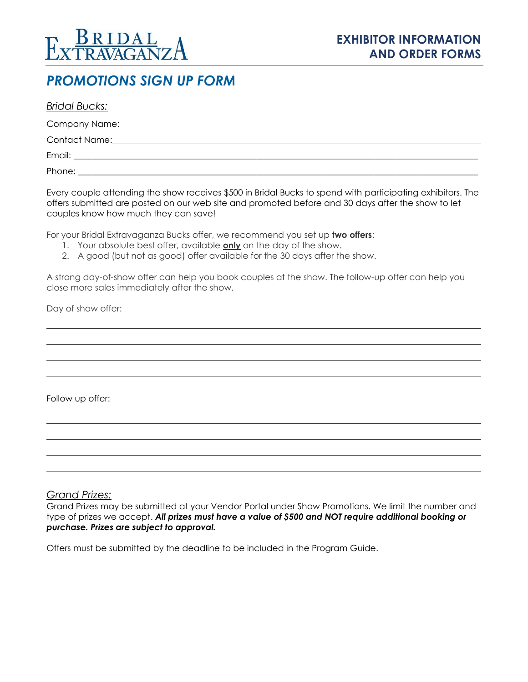

#### *PROMOTIONS SIGN UP FORM*

| <b>Bridal Bucks:</b>                                                                                            |  |  |
|-----------------------------------------------------------------------------------------------------------------|--|--|
| Company Name: Name: Name and Name and Name and Name and Name and Name and Name and Name and Name and Name and N |  |  |
| <b>Contact Name:</b>                                                                                            |  |  |
| Email:<br><u> 1989 - John Stone, Amerikaansk politiker (</u> † 1920)                                            |  |  |
| Phone:                                                                                                          |  |  |

Every couple attending the show receives \$500 in Bridal Bucks to spend with participating exhibitors. The offers submitted are posted on our web site and promoted before and 30 days after the show to let couples know how much they can save!

For your Bridal Extravaganza Bucks offer, we recommend you set up **two offers**:

- 1. Your absolute best offer, available **only** on the day of the show.
- 2. A good (but not as good) offer available for the 30 days after the show.

A strong day-of-show offer can help you book couples at the show. The follow-up offer can help you close more sales immediately after the show.

Day of show offer:

Follow up offer:

#### *Grand Prizes:*

Grand Prizes may be submitted at your Vendor Portal under Show Promotions. We limit the number and type of prizes we accept. *All prizes must have a value of \$500 and NOT require additional booking or purchase. Prizes are subject to approval.*

Offers must be submitted by the deadline to be included in the Program Guide.